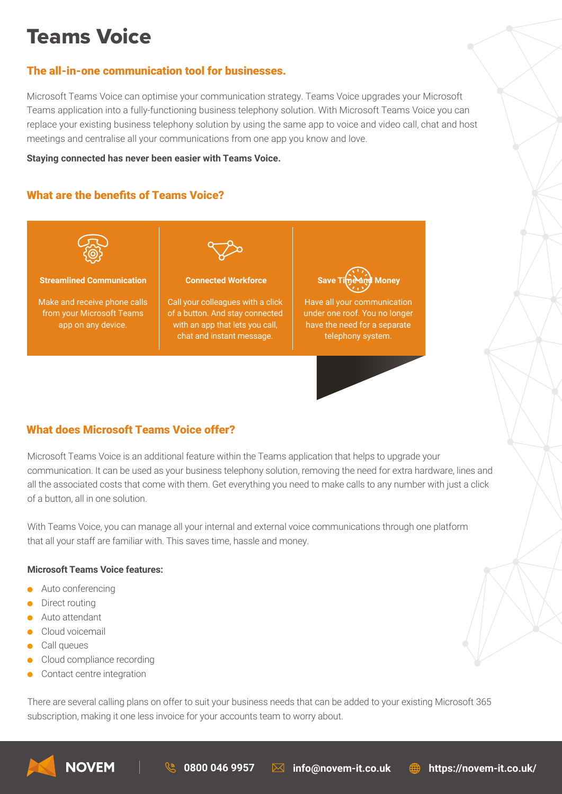# Teams Voice

## The all-in-one communication tool for businesses.

Microsoft Teams Voice can optimise your communication strategy. Teams Voice upgrades your Microsoft Teams application into a fully-functioning business telephony solution. With Microsoft Teams Voice you can replace your existing business telephony solution by using the same app to voice and video call, chat and host meetings and centralise all your communications from one app you know and love.

**Staying connected has never been easier with Teams Voice.** 

# What are the benefits of Teams Voice?



# What does Microsoft Teams Voice offer?

Microsoft Teams Voice is an additional feature within the Teams application that helps to upgrade your communication. It can be used as your business telephony solution, removing the need for extra hardware, lines and all the associated costs that come with them. Get everything you need to make calls to any number with just a click of a button, all in one solution.

With Teams Voice, you can manage all your internal and external voice communications through one platform that all your staff are familiar with. This saves time, hassle and money.

#### **Microsoft Teams Voice features:**

- Auto conferencing
- Direct routing
- **Auto attendant**
- **Cloud voicemail**
- Call queues
- Cloud compliance recording
- Contact centre integration

There are several calling plans on offer to suit your business needs that can be added to your existing Microsoft 365 subscription, making it one less invoice for your accounts team to worry about.



**0800 046 9957 info@novem-it.co.uk https://novem-it.co.uk/**